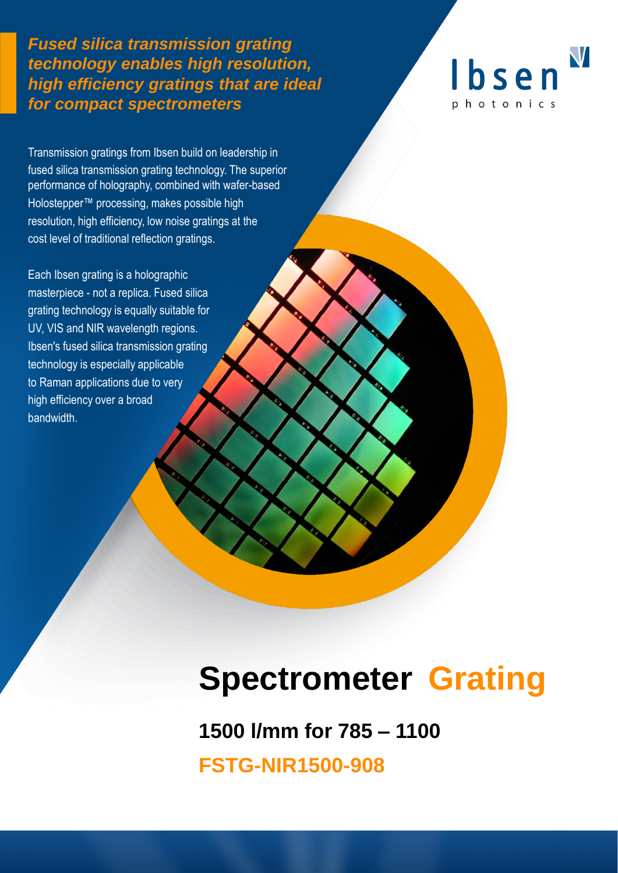*Fused silica transmission grating technology enables high resolution, high efficiency gratings that are ideal for compact spectrometers*



Transmission gratings from Ibsen build on leadership in fused silica transmission grating technology. The superior performance of holography, combined with wafer-based Holostepper™ processing, makes possible high resolution, high efficiency, low noise gratings at the cost level of traditional reflection gratings.

Each Ibsen grating is a holographic masterpiece - not a replica. Fused silica grating technology is equally suitable for UV, VIS and NIR wavelength regions. Ibsen's fused silica transmission grating technology is especially applicable to Raman applications due to very high efficiency over a broad bandwidth.

# **Spectrometer Grating**

**1500 l/mm for 785 – 1100 FSTG-NIR1500-908**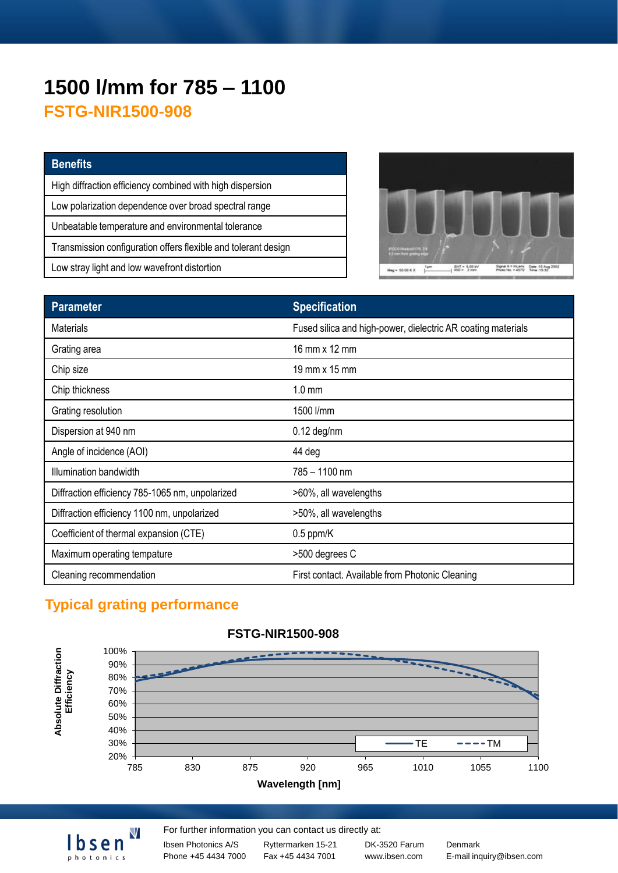# **1500 l/mm for 785 – 1100**

**FSTG-NIR1500-908**

#### **Benefits**

High diffraction efficiency combined with high dispersion Low polarization dependence over broad spectral range Unbeatable temperature and environmental tolerance

Transmission configuration offers flexible and tolerant design

Low stray light and low wavefront distortion



| <b>Parameter</b>                                | <b>Specification</b>                                         |
|-------------------------------------------------|--------------------------------------------------------------|
| <b>Materials</b>                                | Fused silica and high-power, dielectric AR coating materials |
| Grating area                                    | 16 mm x 12 mm                                                |
| Chip size                                       | 19 mm $\times$ 15 mm                                         |
| Chip thickness                                  | $1.0 \text{ mm}$                                             |
| Grating resolution                              | 1500 l/mm                                                    |
| Dispersion at 940 nm                            | $0.12$ deg/nm                                                |
| Angle of incidence (AOI)                        | 44 deg                                                       |
| Illumination bandwidth                          | 785 - 1100 nm                                                |
| Diffraction efficiency 785-1065 nm, unpolarized | >60%, all wavelengths                                        |
| Diffraction efficiency 1100 nm, unpolarized     | >50%, all wavelengths                                        |
| Coefficient of thermal expansion (CTE)          | $0.5$ ppm/K                                                  |
| Maximum operating tempature                     | >500 degrees C                                               |
| Cleaning recommendation                         | First contact. Available from Photonic Cleaning              |

# **Typical grating performance**



#### **FSTG-NIR1500-908**

For further information you can contact us directly at:

Ibsen Photonics A/S photonics

 ${\sf V}$ 

Phone +45 4434 7000 Ryttermarken 15-21 Fax +45 4434 7001

DK-3520 Farum Denmark

www.ibsen.com E-mail inquiry@ibsen.com